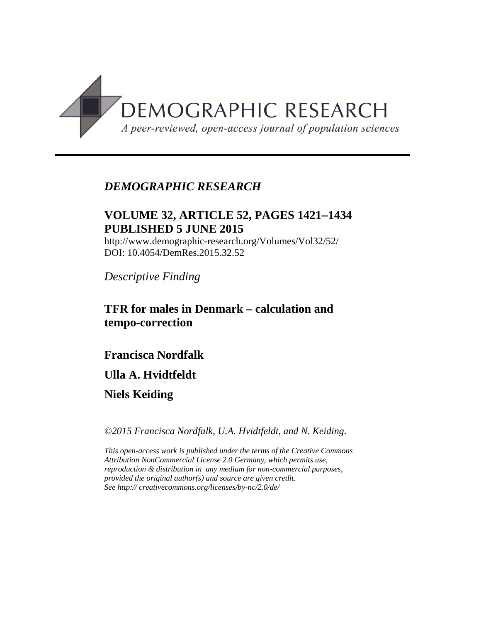

## *DEMOGRAPHIC RESEARCH*

## **VOLUME 32, ARTICLE 52, PAGES 1421**−**1434 PUBLISHED 5 JUNE 2015**

http://www.demographic-research.org/Volumes/Vol32/52/ DOI: 10.4054/DemRes.2015.32.52

*Descriptive Finding*

## **TFR for males in Denmark – calculation and tempo-correction**

**Francisca Nordfalk** 

**Ulla A. Hvidtfeldt** 

**Niels Keiding**

*©2015 Francisca Nordfalk, U.A. Hvidtfeldt, and N. Keiding.*

*This open-access work is published under the terms of the Creative Commons Attribution NonCommercial License 2.0 Germany, which permits use, reproduction & distribution in any medium for non-commercial purposes, provided the original author(s) and source are given credit. See http:// creativecommons.org/licenses/by-nc/2.0/de/*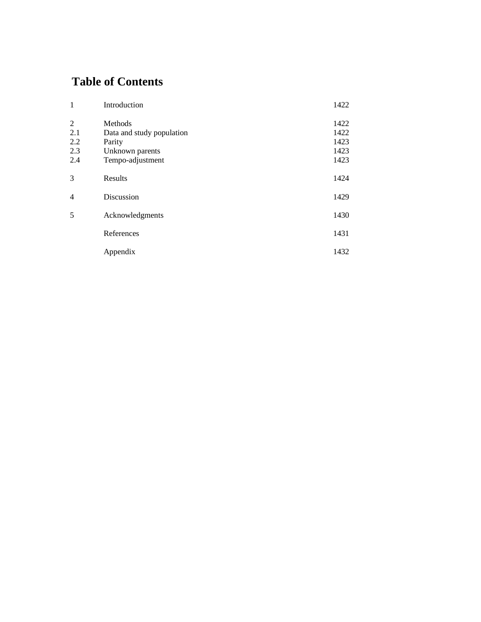# **Table of Contents**

| $\mathbf{1}$   | Introduction              | 1422 |
|----------------|---------------------------|------|
| 2              | Methods                   | 1422 |
| 2.1            | Data and study population | 1422 |
| 2.2            | Parity                    | 1423 |
| 2.3            | Unknown parents           | 1423 |
| 2.4            | Tempo-adjustment          | 1423 |
|                |                           |      |
| 3              | Results                   | 1424 |
|                |                           |      |
| $\overline{4}$ | Discussion                | 1429 |
|                |                           |      |
| 5              | Acknowledgments           | 1430 |
|                |                           |      |
|                | References                | 1431 |
|                |                           |      |
|                | Appendix                  | 1432 |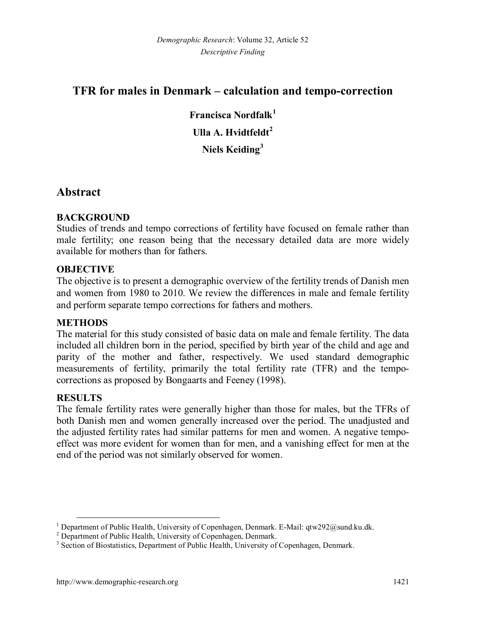## **TFR for males in Denmark – calculation and tempo-correction**

**Francisca Nordfalk[1](#page-2-0) Ulla A. Hvidtfeldt[2](#page-2-1) Niels Keiding[3](#page-2-2)**

## **Abstract**

### **BACKGROUND**

Studies of trends and tempo corrections of fertility have focused on female rather than male fertility; one reason being that the necessary detailed data are more widely available for mothers than for fathers.

### **OBJECTIVE**

The objective is to present a demographic overview of the fertility trends of Danish men and women from 1980 to 2010. We review the differences in male and female fertility and perform separate tempo corrections for fathers and mothers.

### **METHODS**

The material for this study consisted of basic data on male and female fertility. The data included all children born in the period, specified by birth year of the child and age and parity of the mother and father, respectively. We used standard demographic measurements of fertility, primarily the total fertility rate (TFR) and the tempocorrections as proposed by Bongaarts and Feeney (1998).

### **RESULTS**

The female fertility rates were generally higher than those for males, but the TFRs of both Danish men and women generally increased over the period. The unadjusted and the adjusted fertility rates had similar patterns for men and women. A negative tempoeffect was more evident for women than for men, and a vanishing effect for men at the end of the period was not similarly observed for women.

<span id="page-2-0"></span><sup>&</sup>lt;sup>1</sup> Department of Public Health, University of Copenhagen, Denmark. E-Mail: qtw292@sund.ku.dk.<br><sup>2</sup> Department of Public Health, University of Copenhagen, Denmark.<br><sup>3</sup> Section of Biostatistics, Department of Public Health,

<span id="page-2-1"></span>

<span id="page-2-2"></span>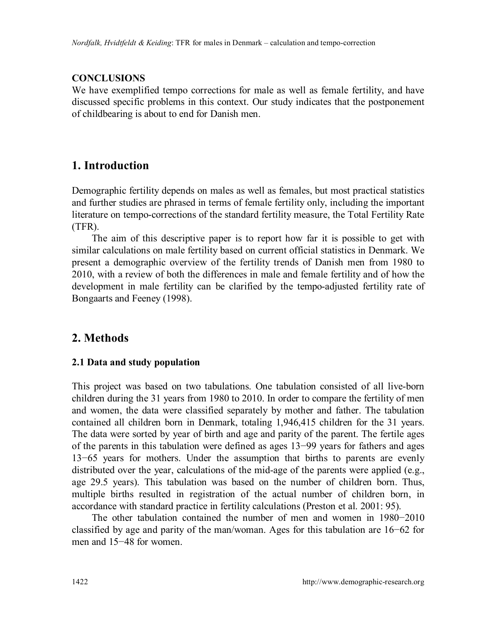### **CONCLUSIONS**

We have exemplified tempo corrections for male as well as female fertility, and have discussed specific problems in this context. Our study indicates that the postponement of childbearing is about to end for Danish men.

# **1. Introduction**

Demographic fertility depends on males as well as females, but most practical statistics and further studies are phrased in terms of female fertility only, including the important literature on tempo-corrections of the standard fertility measure, the Total Fertility Rate (TFR).

The aim of this descriptive paper is to report how far it is possible to get with similar calculations on male fertility based on current official statistics in Denmark. We present a demographic overview of the fertility trends of Danish men from 1980 to 2010, with a review of both the differences in male and female fertility and of how the development in male fertility can be clarified by the tempo-adjusted fertility rate of Bongaarts and Feeney (1998).

## **2. Methods**

### **2.1 Data and study population**

This project was based on two tabulations. One tabulation consisted of all live-born children during the 31 years from 1980 to 2010. In order to compare the fertility of men and women, the data were classified separately by mother and father. The tabulation contained all children born in Denmark, totaling 1,946,415 children for the 31 years. The data were sorted by year of birth and age and parity of the parent. The fertile ages of the parents in this tabulation were defined as ages 13−99 years for fathers and ages 13−65 years for mothers. Under the assumption that births to parents are evenly distributed over the year, calculations of the mid-age of the parents were applied (e.g., age 29.5 years). This tabulation was based on the number of children born. Thus, multiple births resulted in registration of the actual number of children born, in accordance with standard practice in fertility calculations (Preston et al. 2001: 95).

The other tabulation contained the number of men and women in 1980−2010 classified by age and parity of the man/woman. Ages for this tabulation are 16−62 for men and 15−48 for women.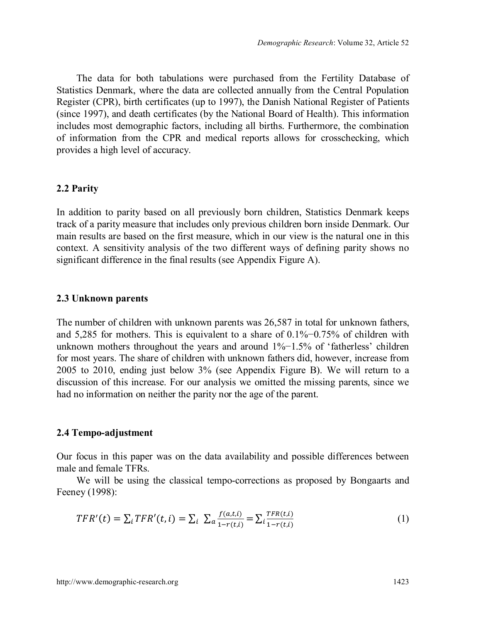The data for both tabulations were purchased from the Fertility Database of Statistics Denmark, where the data are collected annually from the Central Population Register (CPR), birth certificates (up to 1997), the Danish National Register of Patients (since 1997), and death certificates (by the National Board of Health). This information includes most demographic factors, including all births. Furthermore, the combination of information from the CPR and medical reports allows for crosschecking, which provides a high level of accuracy.

#### **2.2 Parity**

In addition to parity based on all previously born children, Statistics Denmark keeps track of a parity measure that includes only previous children born inside Denmark. Our main results are based on the first measure, which in our view is the natural one in this context. A sensitivity analysis of the two different ways of defining parity shows no significant difference in the final results (see Appendix Figure A).

#### **2.3 Unknown parents**

The number of children with unknown parents was 26,587 in total for unknown fathers, and 5,285 for mothers. This is equivalent to a share of 0.1%−0.75% of children with unknown mothers throughout the years and around 1%−1.5% of 'fatherless' children for most years. The share of children with unknown fathers did, however, increase from 2005 to 2010, ending just below 3% (see Appendix Figure B). We will return to a discussion of this increase. For our analysis we omitted the missing parents, since we had no information on neither the parity nor the age of the parent.

#### **2.4 Tempo-adjustment**

Our focus in this paper was on the data availability and possible differences between male and female TFRs.

We will be using the classical tempo-corrections as proposed by Bongaarts and Feeney (1998):

$$
TFR'(t) = \sum_{i} TFR'(t, i) = \sum_{i} \sum_{i} \frac{f(a, t, i)}{1 - r(t, i)} = \sum_{i} \frac{TFR(t, i)}{1 - r(t, i)}
$$
(1)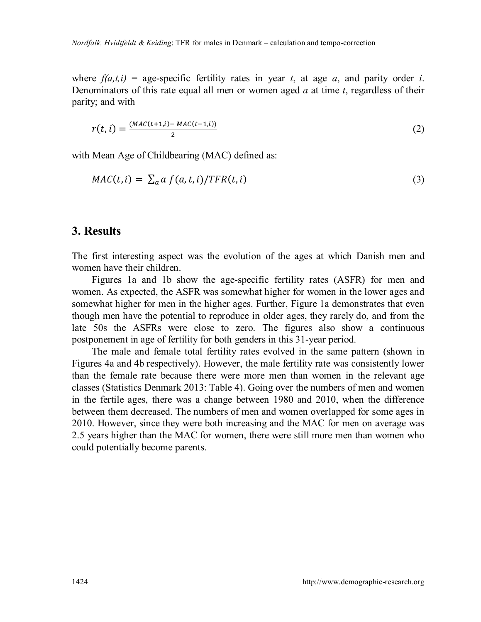where  $f(a,t,i)$  = age-specific fertility rates in year *t*, at age *a*, and parity order *i*. Denominators of this rate equal all men or women aged *a* at time *t*, regardless of their parity; and with

$$
r(t, i) = \frac{(MAC(t+1, i) - MAC(t-1, i))}{2}
$$
 (2)

with Mean Age of Childbearing (MAC) defined as:

$$
MAC(t, i) = \sum_{a} a f(a, t, i) / TFR(t, i)
$$
\n(3)

### **3. Results**

The first interesting aspect was the evolution of the ages at which Danish men and women have their children.

Figures 1a and 1b show the age-specific fertility rates (ASFR) for men and women. As expected, the ASFR was somewhat higher for women in the lower ages and somewhat higher for men in the higher ages. Further, Figure 1a demonstrates that even though men have the potential to reproduce in older ages, they rarely do, and from the late 50s the ASFRs were close to zero. The figures also show a continuous postponement in age of fertility for both genders in this 31-year period.

The male and female total fertility rates evolved in the same pattern (shown in Figures 4a and 4b respectively). However, the male fertility rate was consistently lower than the female rate because there were more men than women in the relevant age classes (Statistics Denmark 2013: Table 4). Going over the numbers of men and women in the fertile ages, there was a change between 1980 and 2010, when the difference between them decreased. The numbers of men and women overlapped for some ages in 2010. However, since they were both increasing and the MAC for men on average was 2.5 years higher than the MAC for women, there were still more men than women who could potentially become parents.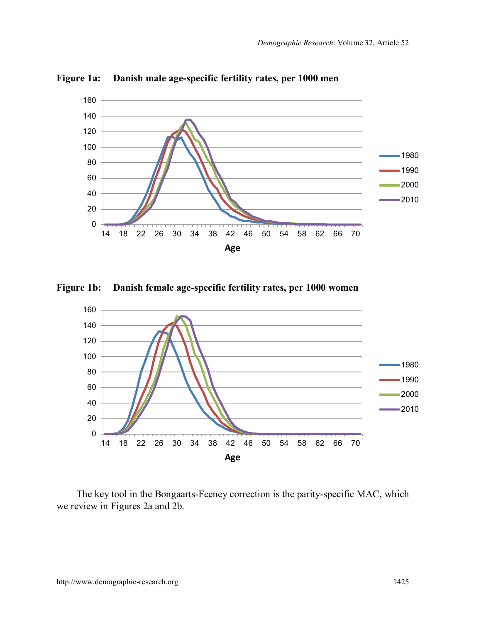

**Figure 1a: Danish male age-specific fertility rates, per 1000 men**

**Figure 1b: Danish female age-specific fertility rates, per 1000 women**



The key tool in the Bongaarts-Feeney correction is the parity-specific MAC, which we review in Figures 2a and 2b.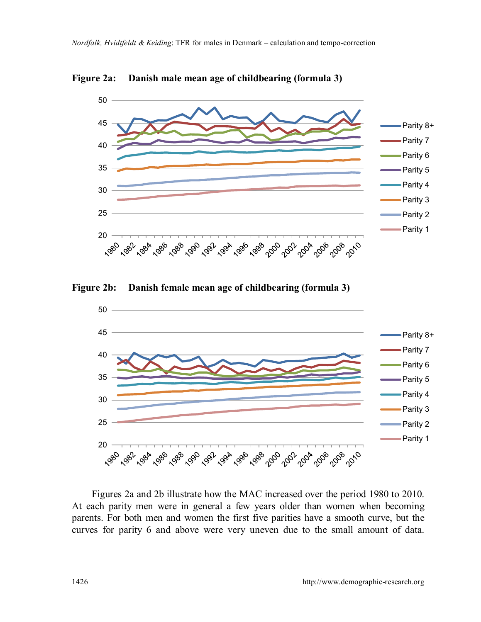

**Figure 2a: Danish male mean age of childbearing (formula 3)**

**Figure 2b: Danish female mean age of childbearing (formula 3)**



Figures 2a and 2b illustrate how the MAC increased over the period 1980 to 2010. At each parity men were in general a few years older than women when becoming parents. For both men and women the first five parities have a smooth curve, but the curves for parity 6 and above were very uneven due to the small amount of data.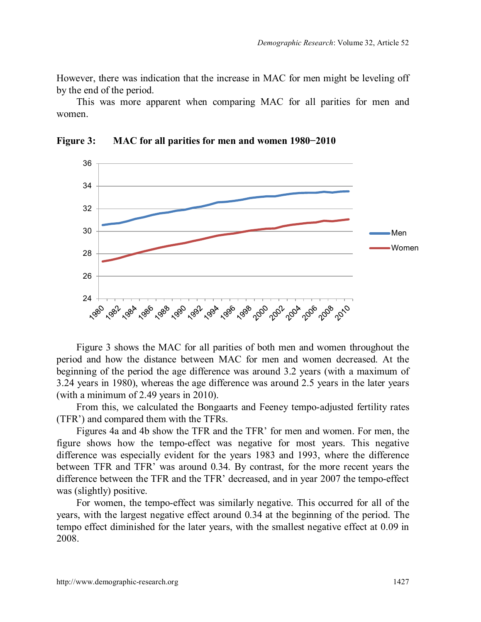However, there was indication that the increase in MAC for men might be leveling off by the end of the period.

This was more apparent when comparing MAC for all parities for men and women.



**Figure 3: MAC for all parities for men and women 1980−2010**

Figure 3 shows the MAC for all parities of both men and women throughout the period and how the distance between MAC for men and women decreased. At the beginning of the period the age difference was around 3.2 years (with a maximum of 3.24 years in 1980), whereas the age difference was around 2.5 years in the later years (with a minimum of 2.49 years in 2010).

From this, we calculated the Bongaarts and Feeney tempo-adjusted fertility rates (TFR') and compared them with the TFRs.

Figures 4a and 4b show the TFR and the TFR' for men and women. For men, the figure shows how the tempo-effect was negative for most years. This negative difference was especially evident for the years 1983 and 1993, where the difference between TFR and TFR' was around 0.34. By contrast, for the more recent years the difference between the TFR and the TFR' decreased, and in year 2007 the tempo-effect was (slightly) positive.

For women, the tempo-effect was similarly negative. This occurred for all of the years, with the largest negative effect around 0.34 at the beginning of the period. The tempo effect diminished for the later years, with the smallest negative effect at 0.09 in 2008.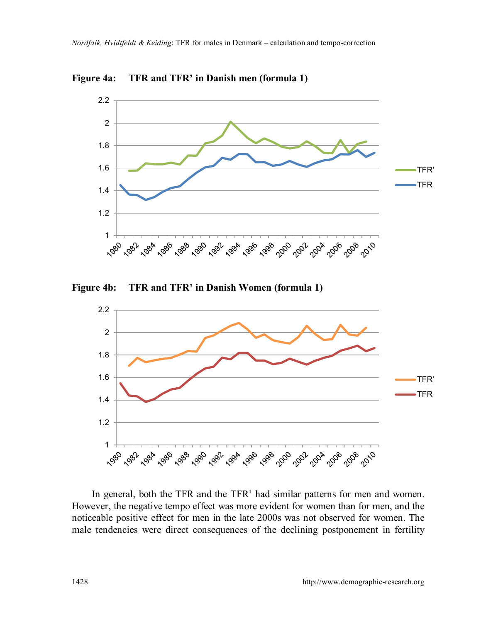

**Figure 4a: TFR and TFR' in Danish men (formula 1)**

**Figure 4b: TFR and TFR' in Danish Women (formula 1)**



In general, both the TFR and the TFR' had similar patterns for men and women. However, the negative tempo effect was more evident for women than for men, and the noticeable positive effect for men in the late 2000s was not observed for women. The male tendencies were direct consequences of the declining postponement in fertility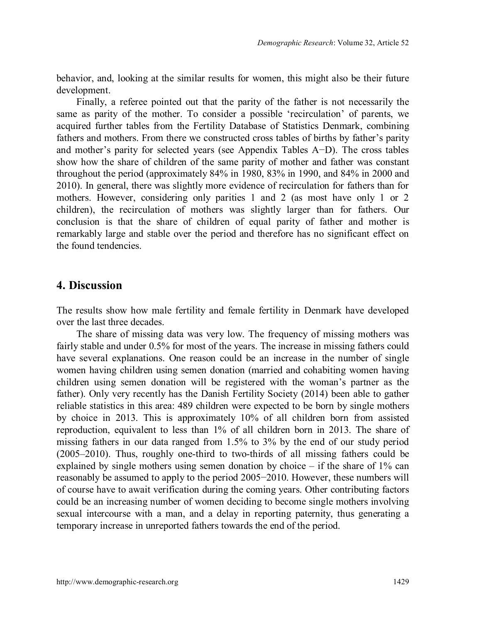behavior, and, looking at the similar results for women, this might also be their future development.

Finally, a referee pointed out that the parity of the father is not necessarily the same as parity of the mother. To consider a possible 'recirculation' of parents, we acquired further tables from the Fertility Database of Statistics Denmark, combining fathers and mothers. From there we constructed cross tables of births by father's parity and mother's parity for selected years (see Appendix Tables A−D). The cross tables show how the share of children of the same parity of mother and father was constant throughout the period (approximately 84% in 1980, 83% in 1990, and 84% in 2000 and 2010). In general, there was slightly more evidence of recirculation for fathers than for mothers. However, considering only parities 1 and 2 (as most have only 1 or 2 children), the recirculation of mothers was slightly larger than for fathers. Our conclusion is that the share of children of equal parity of father and mother is remarkably large and stable over the period and therefore has no significant effect on the found tendencies.

### **4. Discussion**

The results show how male fertility and female fertility in Denmark have developed over the last three decades.

The share of missing data was very low. The frequency of missing mothers was fairly stable and under 0.5% for most of the years. The increase in missing fathers could have several explanations. One reason could be an increase in the number of single women having children using semen donation (married and cohabiting women having children using semen donation will be registered with the woman's partner as the father). Only very recently has the Danish Fertility Society (2014) been able to gather reliable statistics in this area: 489 children were expected to be born by single mothers by choice in 2013. This is approximately 10% of all children born from assisted reproduction, equivalent to less than 1% of all children born in 2013. The share of missing fathers in our data ranged from 1.5% to 3% by the end of our study period (2005–2010). Thus, roughly one-third to two-thirds of all missing fathers could be explained by single mothers using semen donation by choice  $-$  if the share of 1% can reasonably be assumed to apply to the period 2005−2010. However, these numbers will of course have to await verification during the coming years. Other contributing factors could be an increasing number of women deciding to become single mothers involving sexual intercourse with a man, and a delay in reporting paternity, thus generating a temporary increase in unreported fathers towards the end of the period.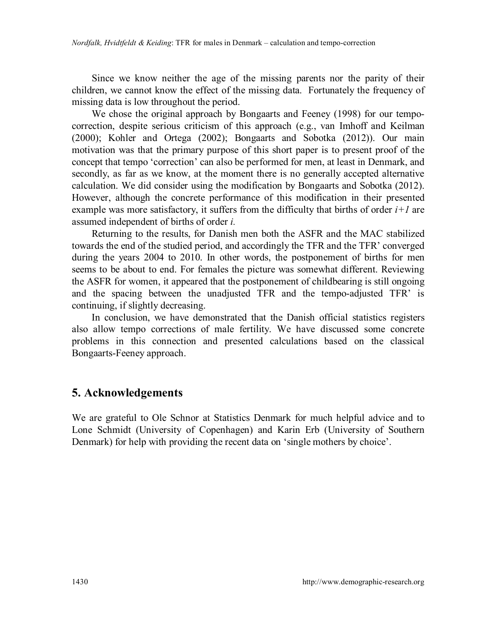Since we know neither the age of the missing parents nor the parity of their children, we cannot know the effect of the missing data. Fortunately the frequency of missing data is low throughout the period.

We chose the original approach by Bongaarts and Feeney (1998) for our tempocorrection, despite serious criticism of this approach (e.g., van Imhoff and Keilman (2000); Kohler and Ortega (2002); Bongaarts and Sobotka (2012)). Our main motivation was that the primary purpose of this short paper is to present proof of the concept that tempo 'correction' can also be performed for men, at least in Denmark, and secondly, as far as we know, at the moment there is no generally accepted alternative calculation. We did consider using the modification by Bongaarts and Sobotka (2012). However, although the concrete performance of this modification in their presented example was more satisfactory, it suffers from the difficulty that births of order *i+1* are assumed independent of births of order *i.*

Returning to the results, for Danish men both the ASFR and the MAC stabilized towards the end of the studied period, and accordingly the TFR and the TFR' converged during the years 2004 to 2010. In other words, the postponement of births for men seems to be about to end. For females the picture was somewhat different. Reviewing the ASFR for women, it appeared that the postponement of childbearing is still ongoing and the spacing between the unadjusted TFR and the tempo-adjusted TFR' is continuing, if slightly decreasing.

In conclusion, we have demonstrated that the Danish official statistics registers also allow tempo corrections of male fertility. We have discussed some concrete problems in this connection and presented calculations based on the classical Bongaarts-Feeney approach.

## **5. Acknowledgements**

We are grateful to Ole Schnor at Statistics Denmark for much helpful advice and to Lone Schmidt (University of Copenhagen) and Karin Erb (University of Southern Denmark) for help with providing the recent data on 'single mothers by choice'.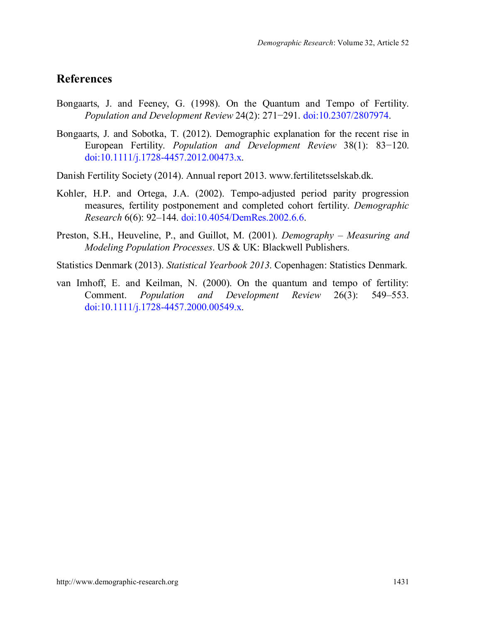## **References**

- Bongaarts, J. and Feeney, G. (1998). On the Quantum and Tempo of Fertility. *Population and Development Review* 24(2): 271−291. doi[:10.2307/2807974.](http://dx.doi.org/10.2307/2807974)
- Bongaarts, J. and Sobotka, T. (2012). Demographic explanation for the recent rise in European Fertility. *Population and Development Review* 38(1): 83−120. doi[:10.1111/j.1728-4457.2012.00473.x.](http://dx.doi.org/10.1111/j.1728-4457.2012.00473.x)
- Danish Fertility Society (2014). Annual report 2013. www.fertilitetsselskab.dk.
- Kohler, H.P. and Ortega, J.A. (2002). Tempo-adjusted period parity progression measures, fertility postponement and completed cohort fertility. *Demographic Research* 6(6): 92–144. doi[:10.4054/DemRes.2002.6.6.](http://dx.doi.org/10.4054/DemRes.2002.6.6)
- Preston, S.H., Heuveline, P., and Guillot, M. (2001). *Demography – Measuring and Modeling Population Processes*. US & UK: Blackwell Publishers.
- Statistics Denmark (2013). *Statistical Yearbook 2013*. Copenhagen: Statistics Denmark*.*
- van Imhoff, E. and Keilman, N. (2000). On the quantum and tempo of fertility: Comment. *Population and Development Review* 26(3): 549–553. doi[:10.1111/j.1728-4457.2000.00549.x.](http://dx.doi.org/10.1111/j.1728-4457.2000.00549.x)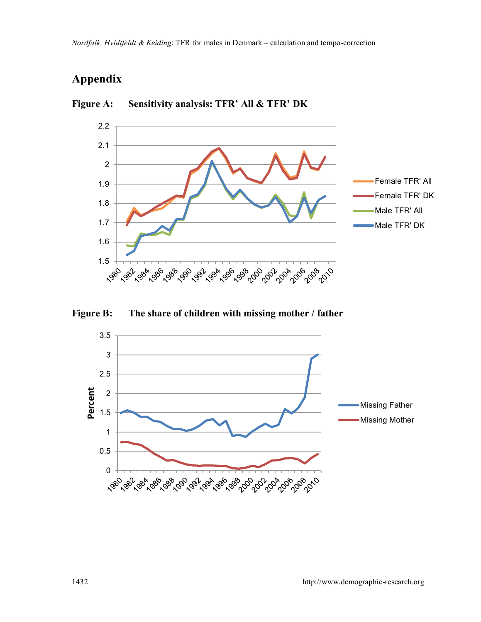# **Appendix**



**Figure A: Sensitivity analysis: TFR' All & TFR' DK**



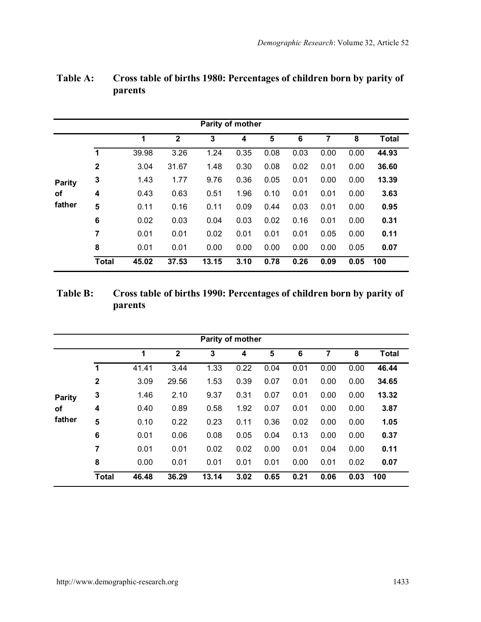|        |              |       |              | Parity of mother |      |      |      |      |      |              |
|--------|--------------|-------|--------------|------------------|------|------|------|------|------|--------------|
|        |              | 1     | $\mathbf{2}$ | 3                | 4    | 5    | 6    | 7    | 8    | <b>Total</b> |
|        | 1            | 39.98 | 3.26         | 1.24             | 0.35 | 0.08 | 0.03 | 0.00 | 0.00 | 44.93        |
|        | $\mathbf{2}$ | 3.04  | 31.67        | 1.48             | 0.30 | 0.08 | 0.02 | 0.01 | 0.00 | 36.60        |
| Parity | 3            | 1.43  | 1.77         | 9.76             | 0.36 | 0.05 | 0.01 | 0.00 | 0.00 | 13.39        |
| of     | 4            | 0.43  | 0.63         | 0.51             | 1.96 | 0.10 | 0.01 | 0.01 | 0.00 | 3.63         |
| father | 5            | 0.11  | 0.16         | 0.11             | 0.09 | 0.44 | 0.03 | 0.01 | 0.00 | 0.95         |
|        | 6            | 0.02  | 0.03         | 0.04             | 0.03 | 0.02 | 0.16 | 0.01 | 0.00 | 0.31         |
|        | 7            | 0.01  | 0.01         | 0.02             | 0.01 | 0.01 | 0.01 | 0.05 | 0.00 | 0.11         |
|        | 8            | 0.01  | 0.01         | 0.00             | 0.00 | 0.00 | 0.00 | 0.00 | 0.05 | 0.07         |
|        | <b>Total</b> | 45.02 | 37.53        | 13.15            | 3.10 | 0.78 | 0.26 | 0.09 | 0.05 | 100          |

## **Table A: Cross table of births 1980: Percentages of children born by parity of parents**

## **Table B: Cross table of births 1990: Percentages of children born by parity of parents**

|        |                |       |              | Parity of mother |      |      |      |      |      |              |
|--------|----------------|-------|--------------|------------------|------|------|------|------|------|--------------|
|        |                | 1     | $\mathbf{2}$ | 3                | 4    | 5    | 6    | 7    | 8    | <b>Total</b> |
|        | 1              | 41.41 | 3.44         | 1.33             | 0.22 | 0.04 | 0.01 | 0.00 | 0.00 | 46.44        |
|        | $\overline{2}$ | 3.09  | 29.56        | 1.53             | 0.39 | 0.07 | 0.01 | 0.00 | 0.00 | 34.65        |
| Parity | 3              | 1.46  | 2.10         | 9.37             | 0.31 | 0.07 | 0.01 | 0.00 | 0.00 | 13.32        |
| οf     | 4              | 0.40  | 0.89         | 0.58             | 1.92 | 0.07 | 0.01 | 0.00 | 0.00 | 3.87         |
| father | 5              | 0.10  | 0.22         | 0.23             | 0.11 | 0.36 | 0.02 | 0.00 | 0.00 | 1.05         |
|        | 6              | 0.01  | 0.06         | 0.08             | 0.05 | 0.04 | 0.13 | 0.00 | 0.00 | 0.37         |
|        | 7              | 0.01  | 0.01         | 0.02             | 0.02 | 0.00 | 0.01 | 0.04 | 0.00 | 0.11         |
|        | 8              | 0.00  | 0.01         | 0.01             | 0.01 | 0.01 | 0.00 | 0.01 | 0.02 | 0.07         |
|        | <b>Total</b>   | 46.48 | 36.29        | 13.14            | 3.02 | 0.65 | 0.21 | 0.06 | 0.03 | 100          |